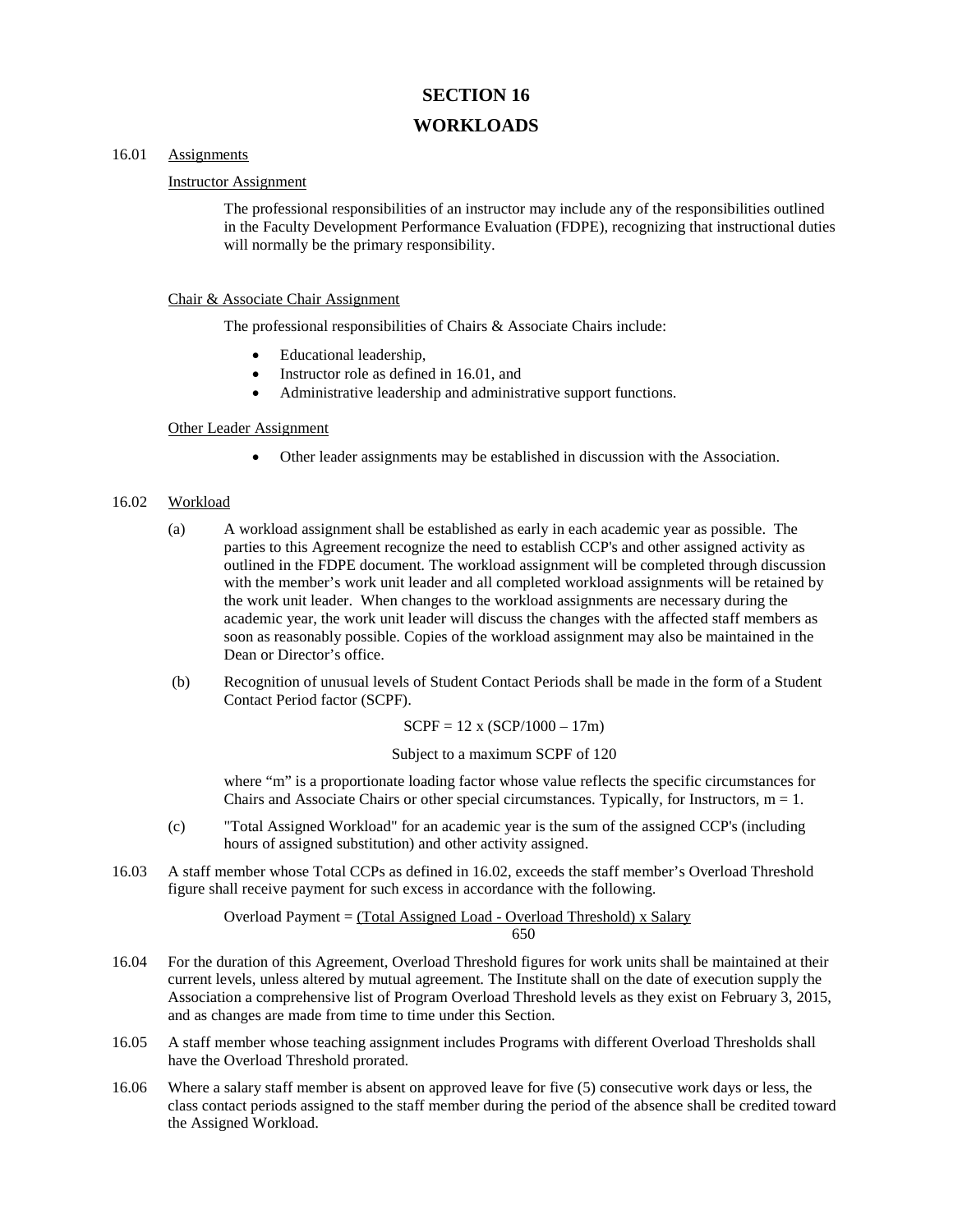# **SECTION 16**

## **WORKLOADS**

### 16.01 Assignments

#### Instructor Assignment

The professional responsibilities of an instructor may include any of the responsibilities outlined in the Faculty Development Performance Evaluation (FDPE), recognizing that instructional duties will normally be the primary responsibility.

#### Chair & Associate Chair Assignment

The professional responsibilities of Chairs & Associate Chairs include:

- Educational leadership,
- Instructor role as defined in 16.01, and
- Administrative leadership and administrative support functions.

#### Other Leader Assignment

• Other leader assignments may be established in discussion with the Association.

#### 16.02 Workload

- (a) A workload assignment shall be established as early in each academic year as possible. The parties to this Agreement recognize the need to establish CCP's and other assigned activity as outlined in the FDPE document. The workload assignment will be completed through discussion with the member's work unit leader and all completed workload assignments will be retained by the work unit leader. When changes to the workload assignments are necessary during the academic year, the work unit leader will discuss the changes with the affected staff members as soon as reasonably possible. Copies of the workload assignment may also be maintained in the Dean or Director's office.
- (b) Recognition of unusual levels of Student Contact Periods shall be made in the form of a Student Contact Period factor (SCPF).

$$
SCPF = 12 \times (SCP/1000 - 17m)
$$

Subject to a maximum SCPF of 120

where "m" is a proportionate loading factor whose value reflects the specific circumstances for Chairs and Associate Chairs or other special circumstances. Typically, for Instructors,  $m = 1$ .

- (c) "Total Assigned Workload" for an academic year is the sum of the assigned CCP's (including hours of assigned substitution) and other activity assigned.
- 16.03 A staff member whose Total CCPs as defined in 16.02, exceeds the staff member's Overload Threshold figure shall receive payment for such excess in accordance with the following.

#### Overload Payment = (Total Assigned Load - Overload Threshold) x Salary 650

- 16.04 For the duration of this Agreement, Overload Threshold figures for work units shall be maintained at their current levels, unless altered by mutual agreement. The Institute shall on the date of execution supply the Association a comprehensive list of Program Overload Threshold levels as they exist on February 3, 2015, and as changes are made from time to time under this Section.
- 16.05 A staff member whose teaching assignment includes Programs with different Overload Thresholds shall have the Overload Threshold prorated.
- 16.06 Where a salary staff member is absent on approved leave for five (5) consecutive work days or less, the class contact periods assigned to the staff member during the period of the absence shall be credited toward the Assigned Workload.